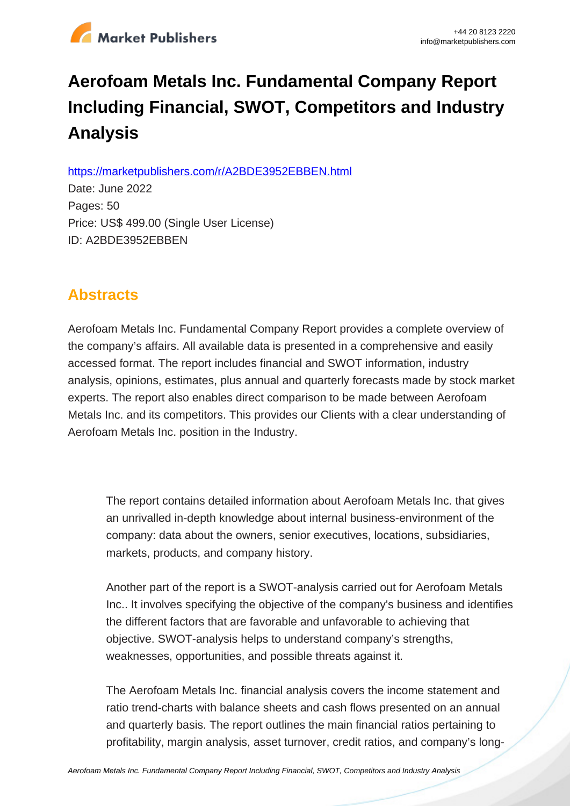

# **Aerofoam Metals Inc. Fundamental Company Report Including Financial, SWOT, Competitors and Industry Analysis**

https://marketpublishers.com/r/A2BDE3952EBBEN.html

Date: June 2022 Pages: 50 Price: US\$ 499.00 (Single User License) ID: A2BDE3952EBBEN

# **Abstracts**

Aerofoam Metals Inc. Fundamental Company Report provides a complete overview of the company's affairs. All available data is presented in a comprehensive and easily accessed format. The report includes financial and SWOT information, industry analysis, opinions, estimates, plus annual and quarterly forecasts made by stock market experts. The report also enables direct comparison to be made between Aerofoam Metals Inc. and its competitors. This provides our Clients with a clear understanding of Aerofoam Metals Inc. position in the Industry.

The report contains detailed information about Aerofoam Metals Inc. that gives an unrivalled in-depth knowledge about internal business-environment of the company: data about the owners, senior executives, locations, subsidiaries, markets, products, and company history.

Another part of the report is a SWOT-analysis carried out for Aerofoam Metals Inc.. It involves specifying the objective of the company's business and identifies the different factors that are favorable and unfavorable to achieving that objective. SWOT-analysis helps to understand company's strengths, weaknesses, opportunities, and possible threats against it.

The Aerofoam Metals Inc. financial analysis covers the income statement and ratio trend-charts with balance sheets and cash flows presented on an annual and quarterly basis. The report outlines the main financial ratios pertaining to profitability, margin analysis, asset turnover, credit ratios, and company's long-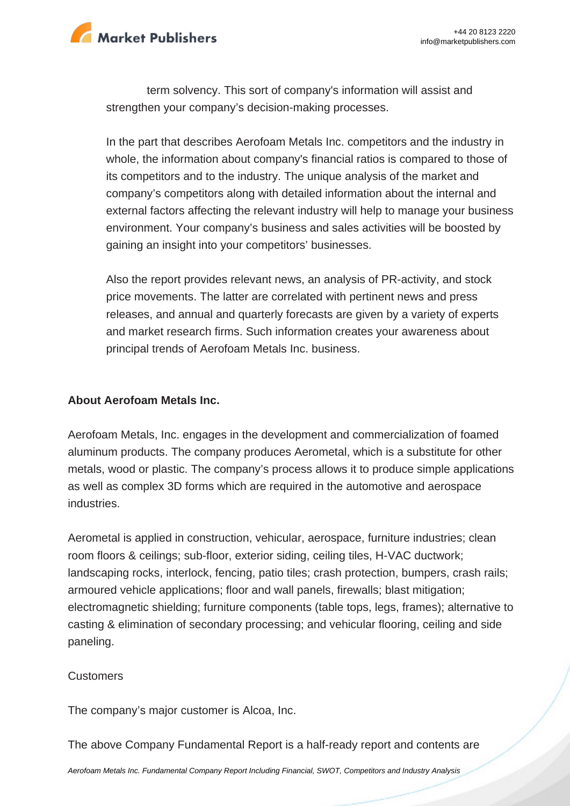

term solvency. This sort of company's information will assist and strengthen your company's decision-making processes.

In the part that describes Aerofoam Metals Inc. competitors and the industry in whole, the information about company's financial ratios is compared to those of its competitors and to the industry. The unique analysis of the market and company's competitors along with detailed information about the internal and external factors affecting the relevant industry will help to manage your business environment. Your company's business and sales activities will be boosted by gaining an insight into your competitors' businesses.

Also the report provides relevant news, an analysis of PR-activity, and stock price movements. The latter are correlated with pertinent news and press releases, and annual and quarterly forecasts are given by a variety of experts and market research firms. Such information creates your awareness about principal trends of Aerofoam Metals Inc. business.

#### **About Aerofoam Metals Inc.**

Aerofoam Metals, Inc. engages in the development and commercialization of foamed aluminum products. The company produces Aerometal, which is a substitute for other metals, wood or plastic. The company's process allows it to produce simple applications as well as complex 3D forms which are required in the automotive and aerospace industries.

Aerometal is applied in construction, vehicular, aerospace, furniture industries; clean room floors & ceilings; sub-floor, exterior siding, ceiling tiles, H-VAC ductwork; landscaping rocks, interlock, fencing, patio tiles; crash protection, bumpers, crash rails; armoured vehicle applications; floor and wall panels, firewalls; blast mitigation; electromagnetic shielding; furniture components (table tops, legs, frames); alternative to casting & elimination of secondary processing; and vehicular flooring, ceiling and side paneling.

#### **Customers**

The company's major customer is Alcoa, Inc.

The above Company Fundamental Report is a half-ready report and contents are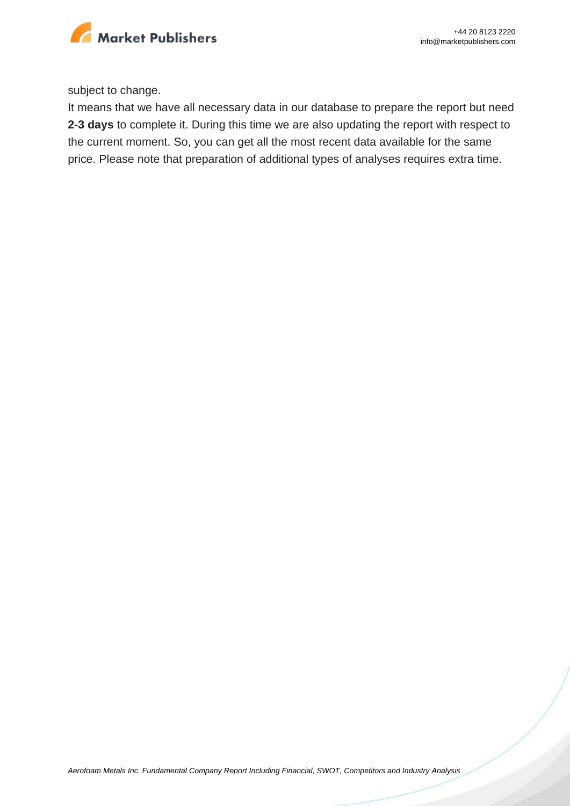

subject to change.

It means that we have all necessary data in our database to prepare the report but need **2-3 days** to complete it. During this time we are also updating the report with respect to the current moment. So, you can get all the most recent data available for the same price. Please note that preparation of additional types of analyses requires extra time.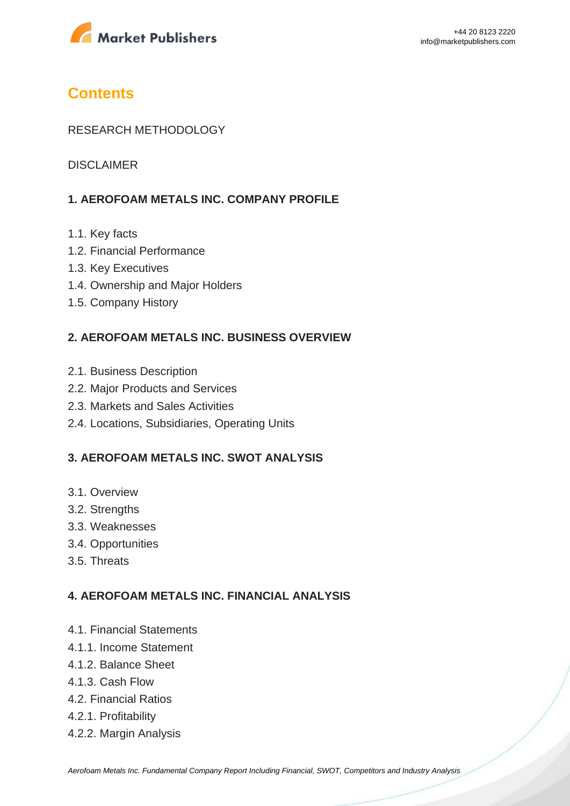

## **Contents**

### RESEARCH METHODOLOGY

DISCI AIMER

### **1. AEROFOAM METALS INC. COMPANY PROFILE**

- 1.1. Key facts
- 1.2. Financial Performance
- 1.3. Key Executives
- 1.4. Ownership and Major Holders
- 1.5. Company History

### **2. AEROFOAM METALS INC. BUSINESS OVERVIEW**

- 2.1. Business Description
- 2.2. Major Products and Services
- 2.3. Markets and Sales Activities
- 2.4. Locations, Subsidiaries, Operating Units

### **3. AEROFOAM METALS INC. SWOT ANALYSIS**

- 3.1. Overview
- 3.2. Strengths
- 3.3. Weaknesses
- 3.4. Opportunities
- 3.5. Threats

#### **4. AEROFOAM METALS INC. FINANCIAL ANALYSIS**

- 4.1. Financial Statements
- 4.1.1. Income Statement
- 4.1.2. Balance Sheet
- 4.1.3. Cash Flow
- 4.2. Financial Ratios
- 4.2.1. Profitability
- 4.2.2. Margin Analysis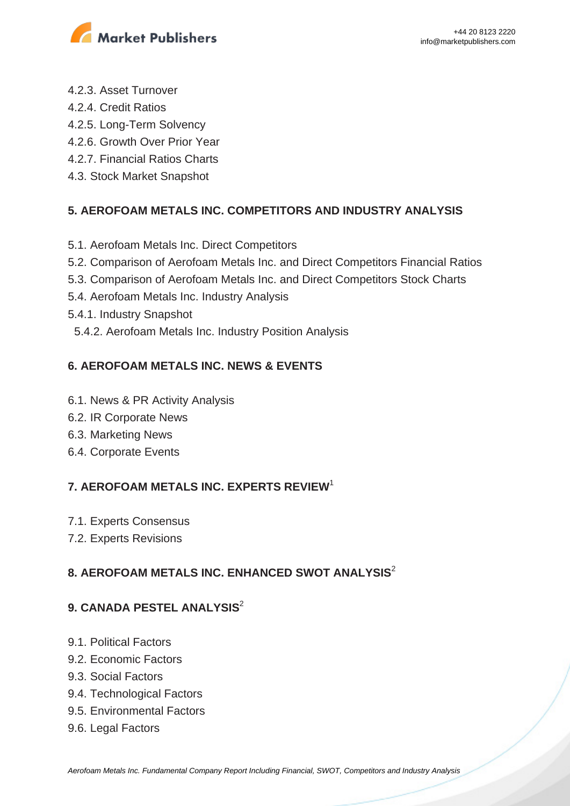

- 4.2.3. Asset Turnover
- 4.2.4. Credit Ratios
- 4.2.5. Long-Term Solvency
- 4.2.6. Growth Over Prior Year
- 4.2.7. Financial Ratios Charts
- 4.3. Stock Market Snapshot

### **5. AEROFOAM METALS INC. COMPETITORS AND INDUSTRY ANALYSIS**

- 5.1. Aerofoam Metals Inc. Direct Competitors
- 5.2. Comparison of Aerofoam Metals Inc. and Direct Competitors Financial Ratios
- 5.3. Comparison of Aerofoam Metals Inc. and Direct Competitors Stock Charts
- 5.4. Aerofoam Metals Inc. Industry Analysis
- 5.4.1. Industry Snapshot
- 5.4.2. Aerofoam Metals Inc. Industry Position Analysis

### **6. AEROFOAM METALS INC. NEWS & EVENTS**

- 6.1. News & PR Activity Analysis
- 6.2. IR Corporate News
- 6.3. Marketing News
- 6.4. Corporate Events

### **7. AEROFOAM METALS INC. EXPERTS REVIEW**<sup>1</sup>

- 7.1. Experts Consensus
- 7.2. Experts Revisions

### **8. AEROFOAM METALS INC. ENHANCED SWOT ANALYSIS**<sup>2</sup>

### **9. CANADA PESTEL ANALYSIS**<sup>2</sup>

- 9.1. Political Factors
- 9.2. Economic Factors
- 9.3. Social Factors
- 9.4. Technological Factors
- 9.5. Environmental Factors
- 9.6. Legal Factors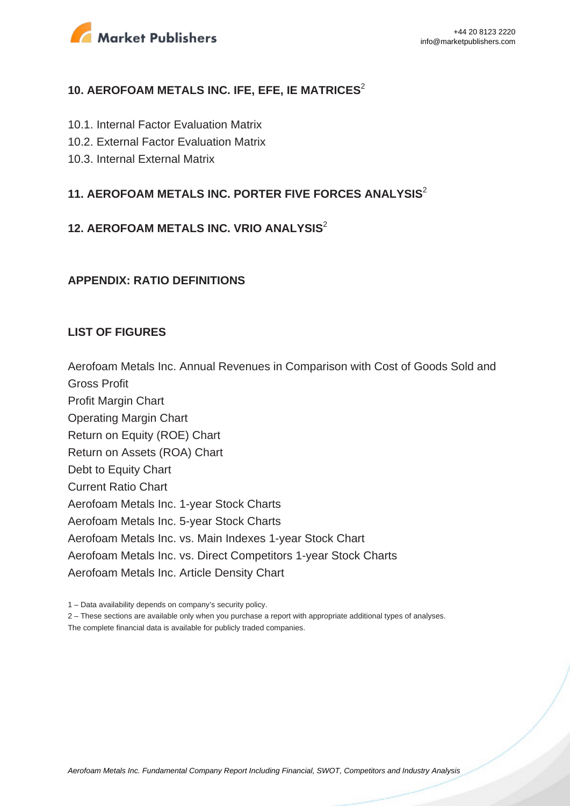

### **10. AEROFOAM METALS INC. IFE, EFE, IE MATRICES**<sup>2</sup>

- 10.1. Internal Factor Evaluation Matrix
- 10.2. External Factor Evaluation Matrix
- 10.3. Internal External Matrix

### **11. AEROFOAM METALS INC. PORTER FIVE FORCES ANALYSIS**<sup>2</sup>

### **12. AEROFOAM METALS INC. VRIO ANALYSIS**<sup>2</sup>

#### **APPENDIX: RATIO DEFINITIONS**

#### **LIST OF FIGURES**

Aerofoam Metals Inc. Annual Revenues in Comparison with Cost of Goods Sold and

Gross Profit

Profit Margin Chart Operating Margin Chart Return on Equity (ROE) Chart Return on Assets (ROA) Chart Debt to Equity Chart Current Ratio Chart Aerofoam Metals Inc. 1-year Stock Charts Aerofoam Metals Inc. 5-year Stock Charts Aerofoam Metals Inc. vs. Main Indexes 1-year Stock Chart Aerofoam Metals Inc. vs. Direct Competitors 1-year Stock Charts Aerofoam Metals Inc. Article Density Chart

2 – These sections are available only when you purchase a report with appropriate additional types of analyses.

The complete financial data is available for publicly traded companies.

<sup>1 –</sup> Data availability depends on company's security policy.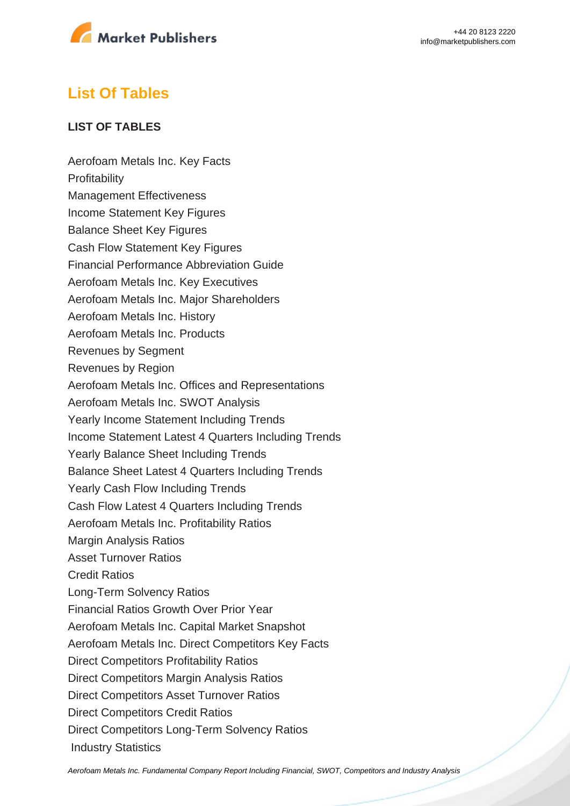

# **List Of Tables**

### **LIST OF TABLES**

Aerofoam Metals Inc. Key Facts **Profitability** Management Effectiveness Income Statement Key Figures Balance Sheet Key Figures Cash Flow Statement Key Figures Financial Performance Abbreviation Guide Aerofoam Metals Inc. Key Executives Aerofoam Metals Inc. Major Shareholders Aerofoam Metals Inc. History Aerofoam Metals Inc. Products Revenues by Segment Revenues by Region Aerofoam Metals Inc. Offices and Representations Aerofoam Metals Inc. SWOT Analysis Yearly Income Statement Including Trends Income Statement Latest 4 Quarters Including Trends Yearly Balance Sheet Including Trends Balance Sheet Latest 4 Quarters Including Trends Yearly Cash Flow Including Trends Cash Flow Latest 4 Quarters Including Trends Aerofoam Metals Inc. Profitability Ratios Margin Analysis Ratios Asset Turnover Ratios Credit Ratios Long-Term Solvency Ratios Financial Ratios Growth Over Prior Year Aerofoam Metals Inc. Capital Market Snapshot Aerofoam Metals Inc. Direct Competitors Key Facts Direct Competitors Profitability Ratios Direct Competitors Margin Analysis Ratios Direct Competitors Asset Turnover Ratios Direct Competitors Credit Ratios Direct Competitors Long-Term Solvency Ratios Industry Statistics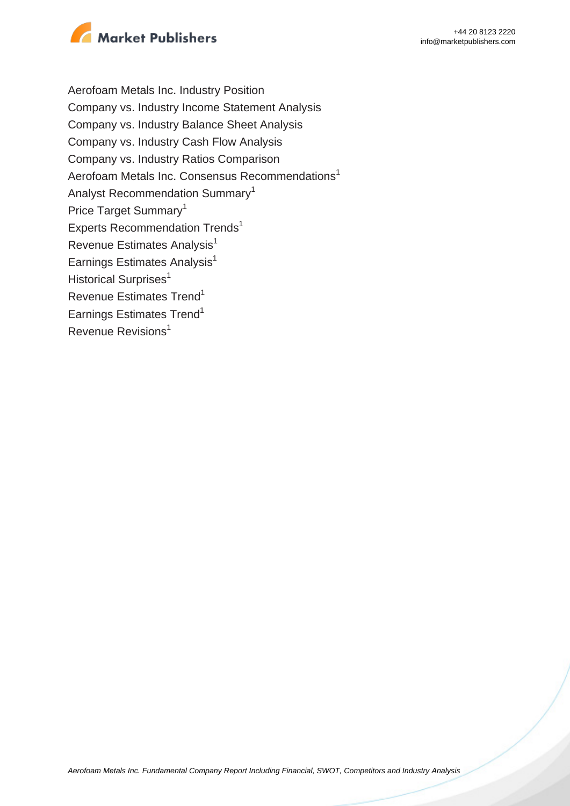

Aerofoam Metals Inc. Industry Position Company vs. Industry Income Statement Analysis Company vs. Industry Balance Sheet Analysis Company vs. Industry Cash Flow Analysis Company vs. Industry Ratios Comparison Aerofoam Metals Inc. Consensus Recommendations<sup>1</sup> Analyst Recommendation Summary<sup>1</sup> Price Target Summary<sup>1</sup> Experts Recommendation Trends<sup>1</sup> Revenue Estimates Analysis<sup>1</sup> Earnings Estimates Analysis $<sup>1</sup>$ </sup> Historical Surprises<sup>1</sup> Revenue Estimates Trend<sup>1</sup> Earnings Estimates Trend<sup>1</sup> Revenue Revisions<sup>1</sup>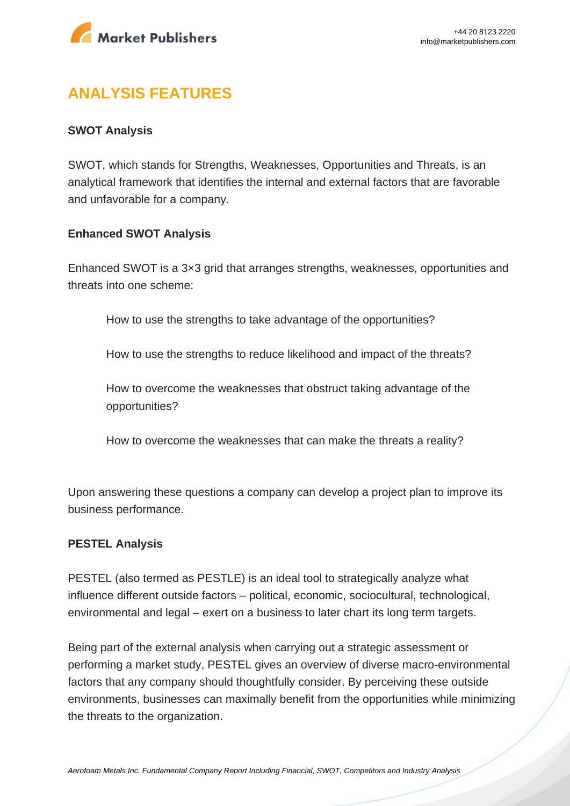

# **ANALYSIS FEATURES**

### **SWOT Analysis**

SWOT, which stands for Strengths, Weaknesses, Opportunities and Threats, is an analytical framework that identifies the internal and external factors that are favorable and unfavorable for a company.

#### **Enhanced SWOT Analysis**

Enhanced SWOT is a 3×3 grid that arranges strengths, weaknesses, opportunities and threats into one scheme:

How to use the strengths to take advantage of the opportunities?

How to use the strengths to reduce likelihood and impact of the threats?

How to overcome the weaknesses that obstruct taking advantage of the opportunities?

How to overcome the weaknesses that can make the threats a reality?

Upon answering these questions a company can develop a project plan to improve its business performance.

#### **PESTEL Analysis**

PESTEL (also termed as PESTLE) is an ideal tool to strategically analyze what influence different outside factors – political, economic, sociocultural, technological, environmental and legal – exert on a business to later chart its long term targets.

Being part of the external analysis when carrying out a strategic assessment or performing a market study, PESTEL gives an overview of diverse macro-environmental factors that any company should thoughtfully consider. By perceiving these outside environments, businesses can maximally benefit from the opportunities while minimizing the threats to the organization.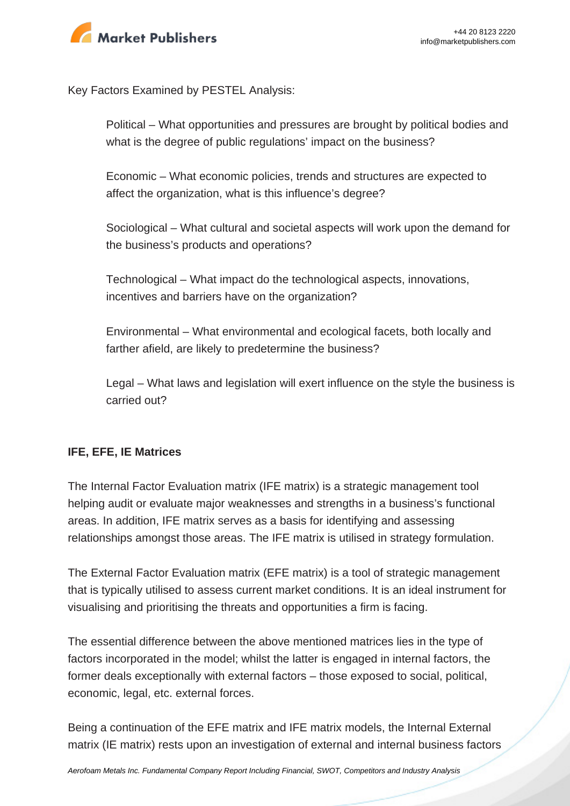

Key Factors Examined by PESTEL Analysis:

Political – What opportunities and pressures are brought by political bodies and what is the degree of public regulations' impact on the business?

Economic – What economic policies, trends and structures are expected to affect the organization, what is this influence's degree?

Sociological – What cultural and societal aspects will work upon the demand for the business's products and operations?

Technological – What impact do the technological aspects, innovations, incentives and barriers have on the organization?

Environmental – What environmental and ecological facets, both locally and farther afield, are likely to predetermine the business?

Legal – What laws and legislation will exert influence on the style the business is carried out?

### **IFE, EFE, IE Matrices**

The Internal Factor Evaluation matrix (IFE matrix) is a strategic management tool helping audit or evaluate major weaknesses and strengths in a business's functional areas. In addition, IFE matrix serves as a basis for identifying and assessing relationships amongst those areas. The IFE matrix is utilised in strategy formulation.

The External Factor Evaluation matrix (EFE matrix) is a tool of strategic management that is typically utilised to assess current market conditions. It is an ideal instrument for visualising and prioritising the threats and opportunities a firm is facing.

The essential difference between the above mentioned matrices lies in the type of factors incorporated in the model; whilst the latter is engaged in internal factors, the former deals exceptionally with external factors – those exposed to social, political, economic, legal, etc. external forces.

Being a continuation of the EFE matrix and IFE matrix models, the Internal External matrix (IE matrix) rests upon an investigation of external and internal business factors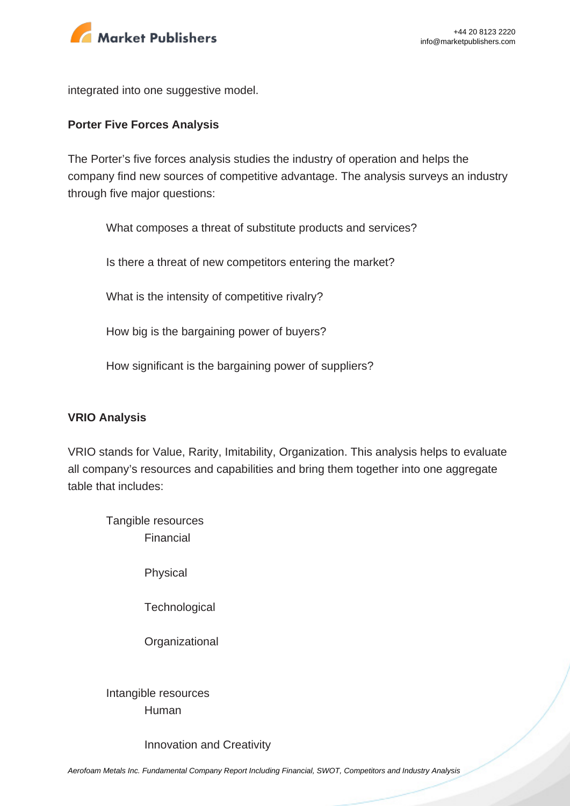

integrated into one suggestive model.

#### **Porter Five Forces Analysis**

The Porter's five forces analysis studies the industry of operation and helps the company find new sources of competitive advantage. The analysis surveys an industry through five major questions:

What composes a threat of substitute products and services?

Is there a threat of new competitors entering the market?

What is the intensity of competitive rivalry?

How big is the bargaining power of buyers?

How significant is the bargaining power of suppliers?

#### **VRIO Analysis**

VRIO stands for Value, Rarity, Imitability, Organization. This analysis helps to evaluate all company's resources and capabilities and bring them together into one aggregate table that includes:

Tangible resources Financial

Physical

**Technological** 

**Organizational** 

Intangible resources Human

Innovation and Creativity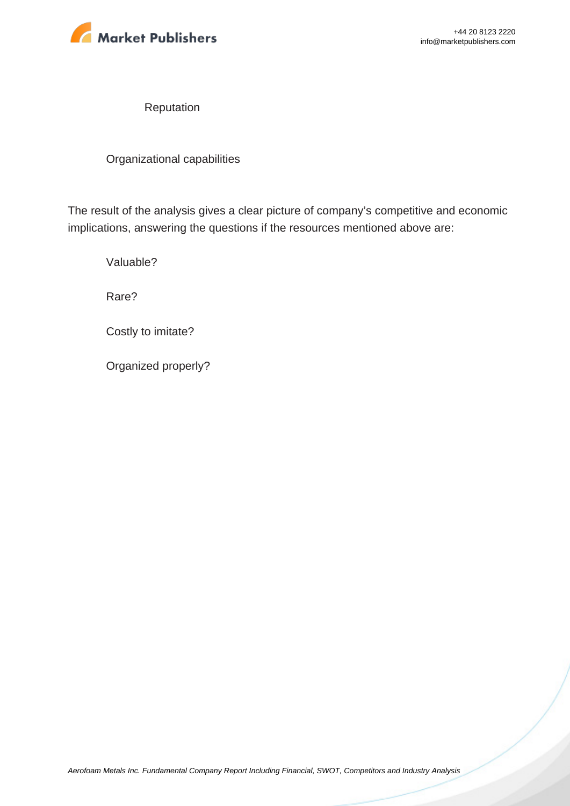

Reputation

Organizational capabilities

The result of the analysis gives a clear picture of company's competitive and economic implications, answering the questions if the resources mentioned above are:

Valuable?

Rare?

Costly to imitate?

Organized properly?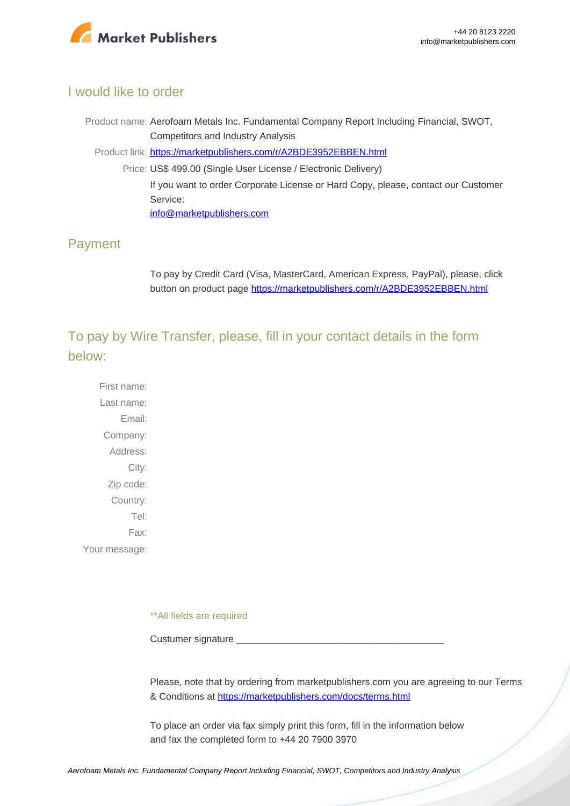

### I would like to order

Product name: Aerofoam Metals Inc. Fundamental Company Report Including Financial, SWOT, Competitors and Industry Analysis Product link: [https://marketpublishers.com/r/A2BDE3952EBBEN.html](https://marketpublishers.com/report/industry/metallurgy/aerofoam_metals_inc_swot_analysis_bac.html) Price: US\$ 499.00 (Single User License / Electronic Delivery) If you want to order Corporate License or Hard Copy, please, contact our Customer Service: [info@marketpublishers.com](mailto:info@marketpublishers.com)

### Payment

To pay by Credit Card (Visa, MasterCard, American Express, PayPal), please, click button on product page [https://marketpublishers.com/r/A2BDE3952EBBEN.html](https://marketpublishers.com/report/industry/metallurgy/aerofoam_metals_inc_swot_analysis_bac.html)

To pay by Wire Transfer, please, fill in your contact details in the form below:

First name: Last name: Email: Company: Address: City: Zip code: Country: Tel: Fax: Your message:

\*\*All fields are required

Custumer signature

Please, note that by ordering from marketpublishers.com you are agreeing to our Terms & Conditions at<https://marketpublishers.com/docs/terms.html>

To place an order via fax simply print this form, fill in the information below and fax the completed form to +44 20 7900 3970